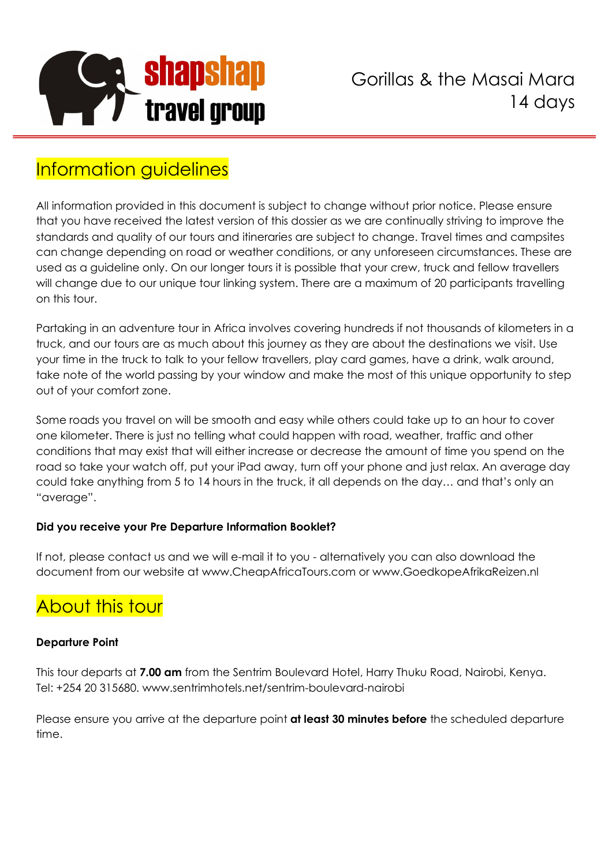

# Information guidelines

All information provided in this document is subject to change without prior notice. Please ensure that you have received the latest version of this dossier as we are continually striving to improve the standards and quality of our tours and itineraries are subject to change. Travel times and campsites can change depending on road or weather conditions, or any unforeseen circumstances. These are used as a guideline only. On our longer tours it is possible that your crew, truck and fellow travellers will change due to our unique tour linking system. There are a maximum of 20 participants travelling on this tour.

Partaking in an adventure tour in Africa involves covering hundreds if not thousands of kilometers in a truck, and our tours are as much about this journey as they are about the destinations we visit. Use your time in the truck to talk to your fellow travellers, play card games, have a drink, walk around, take note of the world passing by your window and make the most of this unique opportunity to step out of your comfort zone.

Some roads you travel on will be smooth and easy while others could take up to an hour to cover one kilometer. There is just no telling what could happen with road, weather, traffic and other conditions that may exist that will either increase or decrease the amount of time you spend on the road so take your watch off, put your iPad away, turn off your phone and just relax. An average day could take anything from 5 to 14 hours in the truck, it all depends on the day… and that's only an "average".

# **Did you receive your Pre Departure Information Booklet?**

If not, please contact us and we will e-mail it to you - alternatively you can also download the document from our website at www.CheapAfricaTours.com or www.GoedkopeAfrikaReizen.nl

# About this tour

# **Departure Point**

This tour departs at **7.00 am** from the Sentrim Boulevard Hotel, Harry Thuku Road, Nairobi, Kenya. Tel: +254 20 315680. www.sentrimhotels.net/sentrim-boulevard-nairobi

Please ensure you arrive at the departure point **at least 30 minutes before** the scheduled departure time.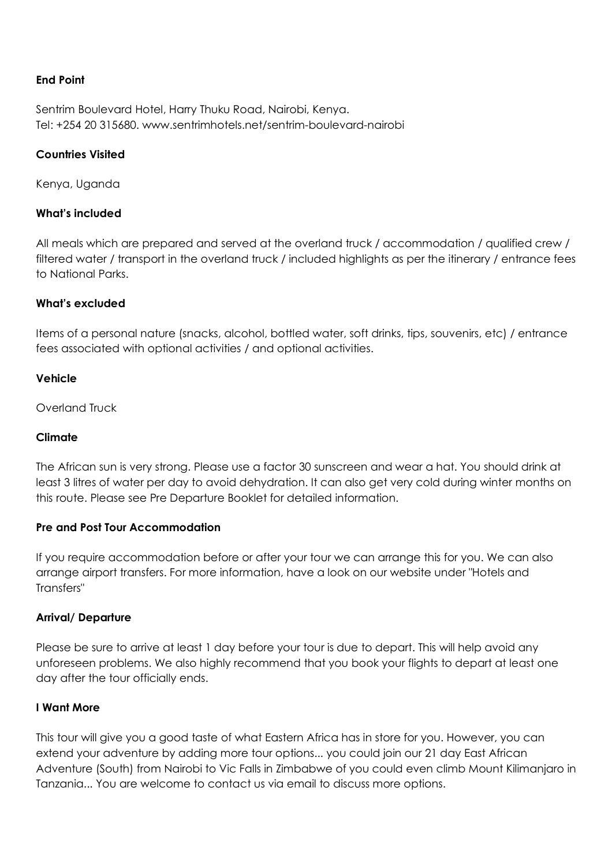## **End Point**

Sentrim Boulevard Hotel, Harry Thuku Road, Nairobi, Kenya. Tel: +254 20 315680. www.sentrimhotels.net/sentrim-boulevard-nairobi

#### **Countries Visited**

Kenya, Uganda

#### **What's included**

All meals which are prepared and served at the overland truck / accommodation / qualified crew / filtered water / transport in the overland truck / included highlights as per the itinerary / entrance fees to National Parks.

#### **What's excluded**

Items of a personal nature (snacks, alcohol, bottled water, soft drinks, tips, souvenirs, etc) / entrance fees associated with optional activities / and optional activities.

#### **Vehicle**

Overland Truck

#### **Climate**

The African sun is very strong. Please use a factor 30 sunscreen and wear a hat. You should drink at least 3 litres of water per day to avoid dehydration. It can also get very cold during winter months on this route. Please see Pre Departure Booklet for detailed information.

#### **Pre and Post Tour Accommodation**

If you require accommodation before or after your tour we can arrange this for you. We can also arrange airport transfers. For more information, have a look on our website under "Hotels and Transfers"

#### **Arrival/ Departure**

Please be sure to arrive at least 1 day before your tour is due to depart. This will help avoid any unforeseen problems. We also highly recommend that you book your flights to depart at least one day after the tour officially ends.

#### **I Want More**

This tour will give you a good taste of what Eastern Africa has in store for you. However, you can extend your adventure by adding more tour options... you could join our 21 day East African Adventure (South) from Nairobi to Vic Falls in Zimbabwe of you could even climb Mount Kilimanjaro in Tanzania... You are welcome to contact us via email to discuss more options.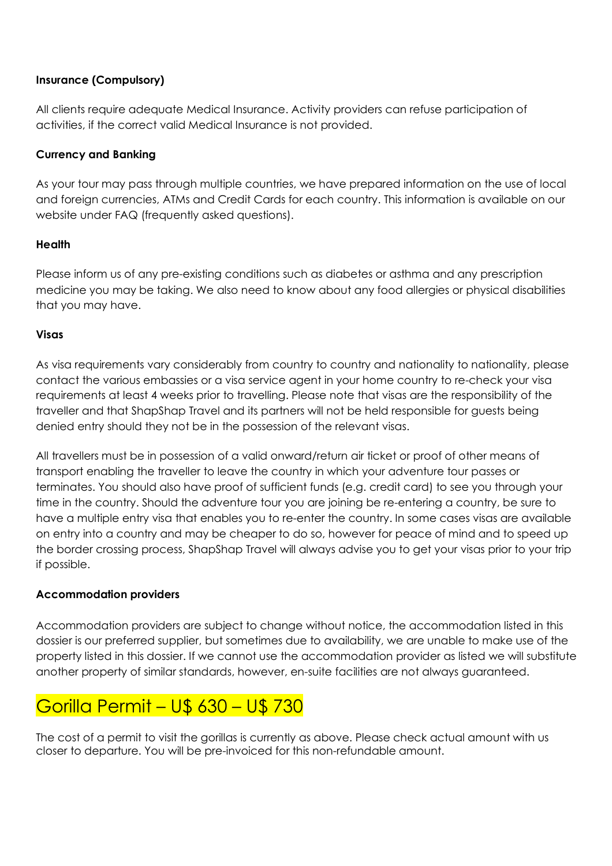# **Insurance (Compulsory)**

All clients require adequate Medical Insurance. Activity providers can refuse participation of activities, if the correct valid Medical Insurance is not provided.

# **Currency and Banking**

As your tour may pass through multiple countries, we have prepared information on the use of local and foreign currencies, ATMs and Credit Cards for each country. This information is available on our website under FAQ (frequently asked questions).

# **Health**

Please inform us of any pre-existing conditions such as diabetes or asthma and any prescription medicine you may be taking. We also need to know about any food allergies or physical disabilities that you may have.

# **Visas**

As visa requirements vary considerably from country to country and nationality to nationality, please contact the various embassies or a visa service agent in your home country to re-check your visa requirements at least 4 weeks prior to travelling. Please note that visas are the responsibility of the traveller and that ShapShap Travel and its partners will not be held responsible for guests being denied entry should they not be in the possession of the relevant visas.

All travellers must be in possession of a valid onward/return air ticket or proof of other means of transport enabling the traveller to leave the country in which your adventure tour passes or terminates. You should also have proof of sufficient funds (e.g. credit card) to see you through your time in the country. Should the adventure tour you are joining be re-entering a country, be sure to have a multiple entry visa that enables you to re-enter the country. In some cases visas are available on entry into a country and may be cheaper to do so, however for peace of mind and to speed up the border crossing process, ShapShap Travel will always advise you to get your visas prior to your trip if possible.

# **Accommodation providers**

Accommodation providers are subject to change without notice, the accommodation listed in this dossier is our preferred supplier, but sometimes due to availability, we are unable to make use of the property listed in this dossier. If we cannot use the accommodation provider as listed we will substitute another property of similar standards, however, en-suite facilities are not always guaranteed.

# Gorilla Permit – U\$ 630 – U\$ 730

The cost of a permit to visit the gorillas is currently as above. Please check actual amount with us closer to departure. You will be pre-invoiced for this non-refundable amount.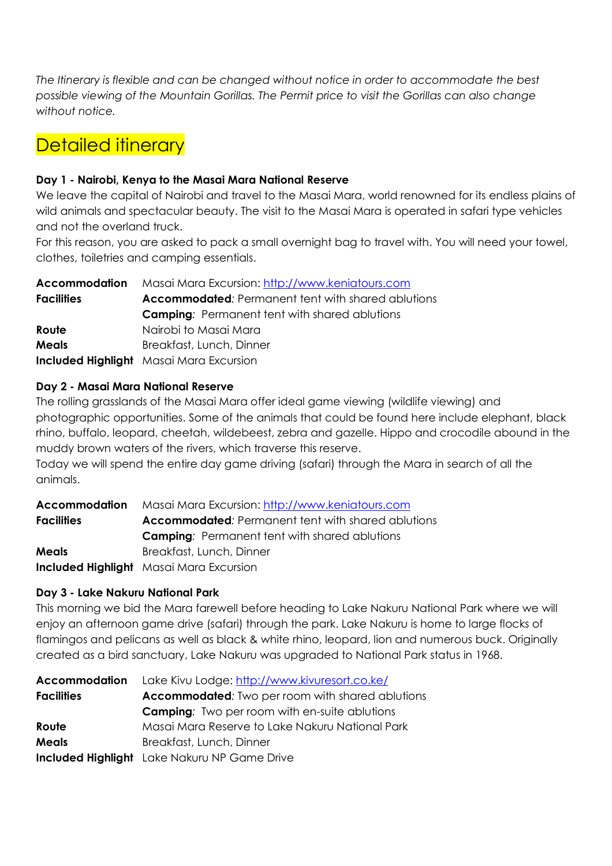*The Itinerary is flexible and can be changed without notice in order to accommodate the best possible viewing of the Mountain Gorillas. The Permit price to visit the Gorillas can also change without notice.*

# Detailed itinerary

# **Day 1 - Nairobi, Kenya to the Masai Mara National Reserve**

We leave the capital of Nairobi and travel to the Masai Mara, world renowned for its endless plains of wild animals and spectacular beauty. The visit to the Masai Mara is operated in safari type vehicles and not the overland truck.

For this reason, you are asked to pack a small overnight bag to travel with. You will need your towel, clothes, toiletries and camping essentials.

| <b>Accommodation</b> | Masai Mara Excursion: http://www.keniatours.com           |
|----------------------|-----------------------------------------------------------|
| <b>Facilities</b>    | <b>Accommodated:</b> Permanent tent with shared ablutions |
|                      | <b>Camping:</b> Permanent tent with shared ablutions      |
| Route                | Nairobi to Masai Mara                                     |
| <b>Meals</b>         | Breakfast, Lunch, Dinner                                  |
|                      | <b>Included Highlight</b> Masai Mara Excursion            |

# **Day 2 - Masai Mara National Reserve**

The rolling grasslands of the Masai Mara offer ideal game viewing (wildlife viewing) and photographic opportunities. Some of the animals that could be found here include elephant, black rhino, buffalo, leopard, cheetah, wildebeest, zebra and gazelle. Hippo and crocodile abound in the muddy brown waters of the rivers, which traverse this reserve.

Today we will spend the entire day game driving (safari) through the Mara in search of all the animals.

| Accommodation     | Masai Mara Excursion: http://www.keniatours.com           |
|-------------------|-----------------------------------------------------------|
| <b>Facilities</b> | <b>Accommodated:</b> Permanent tent with shared ablutions |
|                   | <b>Camping:</b> Permanent tent with shared ablutions      |
| <b>Meals</b>      | Breakfast, Lunch, Dinner                                  |
|                   | <b>Included Highlight</b> Masai Mara Excursion            |

# **Day 3 - Lake Nakuru National Park**

This morning we bid the Mara farewell before heading to Lake Nakuru National Park where we will enjoy an afternoon game drive (safari) through the park. Lake Nakuru is home to large flocks of flamingos and pelicans as well as black & white rhino, leopard, lion and numerous buck. Originally created as a bird sanctuary, Lake Nakuru was upgraded to National Park status in 1968.

|                   | <b>Accommodation</b> Lake Kivu Lodge: http://www.kivuresort.co.ke/ |
|-------------------|--------------------------------------------------------------------|
| <b>Facilities</b> | <b>Accommodated:</b> Two per room with shared ablutions            |
|                   | <b>Camping:</b> Two per room with en-suite ablutions               |
| Route             | Masai Mara Reserve to Lake Nakuru National Park                    |
| <b>Meals</b>      | Breakfast, Lunch, Dinner                                           |
|                   | <b>Included Highlight</b> Lake Nakuru NP Game Drive                |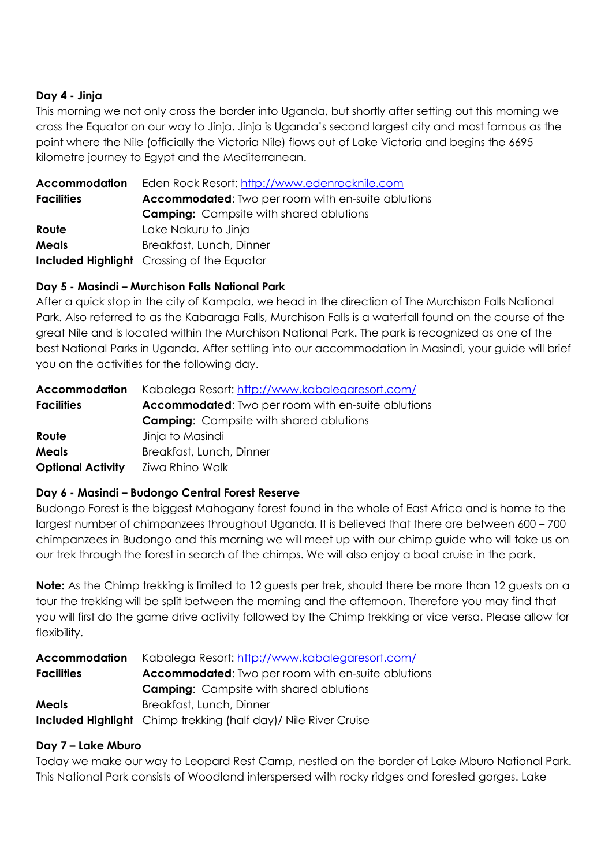# **Day 4 - Jinja**

This morning we not only cross the border into Uganda, but shortly after setting out this morning we cross the Equator on our way to Jinja. Jinja is Uganda's second largest city and most famous as the point where the Nile (officially the Victoria Nile) flows out of Lake Victoria and begins the 6695 kilometre journey to Egypt and the Mediterranean.

| <b>Accommodation</b> | Eden Rock Resort: http://www.edenrocknile.com             |
|----------------------|-----------------------------------------------------------|
| <b>Facilities</b>    | <b>Accommodated:</b> Two per room with en-suite ablutions |
|                      | <b>Camping:</b> Campsite with shared ablutions            |
| Route                | Lake Nakuru to Jinja                                      |
| <b>Meals</b>         | Breakfast, Lunch, Dinner                                  |
|                      | <b>Included Highlight</b> Crossing of the Equator         |

# **Day 5 - Masindi – Murchison Falls National Park**

After a quick stop in the city of Kampala, we head in the direction of The Murchison Falls National Park. Also referred to as the Kabaraga Falls, Murchison Falls is a waterfall found on the course of the great Nile and is located within the Murchison National Park. The park is recognized as one of the best National Parks in Uganda. After settling into our accommodation in Masindi, your guide will brief you on the activities for the following day.

| <b>Accommodation</b>     | Kabalega Resort: http://www.kabalegaresort.com/           |
|--------------------------|-----------------------------------------------------------|
| <b>Facilities</b>        | <b>Accommodated:</b> Two per room with en-suite ablutions |
|                          | <b>Camping:</b> Campsite with shared ablutions            |
| Route                    | Jinja to Masindi                                          |
| <b>Meals</b>             | Breakfast, Lunch, Dinner                                  |
| <b>Optional Activity</b> | Ziwa Rhino Walk                                           |

# **Day 6 - Masindi – Budongo Central Forest Reserve**

Budongo Forest is the biggest Mahogany forest found in the whole of East Africa and is home to the largest number of chimpanzees throughout Uganda. It is believed that there are between 600 – 700 chimpanzees in Budongo and this morning we will meet up with our chimp guide who will take us on our trek through the forest in search of the chimps. We will also enjoy a boat cruise in the park.

**Note:** As the Chimp trekking is limited to 12 guests per trek, should there be more than 12 guests on a tour the trekking will be split between the morning and the afternoon. Therefore you may find that you will first do the game drive activity followed by the Chimp trekking or vice versa. Please allow for flexibility.

| Accommodation     | Kabalega Resort: http://www.kabalegaresort.com/                         |
|-------------------|-------------------------------------------------------------------------|
| <b>Facilities</b> | <b>Accommodated:</b> Two per room with en-suite ablutions               |
|                   | <b>Camping:</b> Campsite with shared ablutions                          |
| <b>Meals</b>      | Breakfast, Lunch, Dinner                                                |
|                   | <b>Included Highlight</b> Chimp trekking (half day) / Nile River Cruise |

# **Day 7 – Lake Mburo**

Today we make our way to Leopard Rest Camp, nestled on the border of Lake Mburo National Park. This National Park consists of Woodland interspersed with rocky ridges and forested gorges. Lake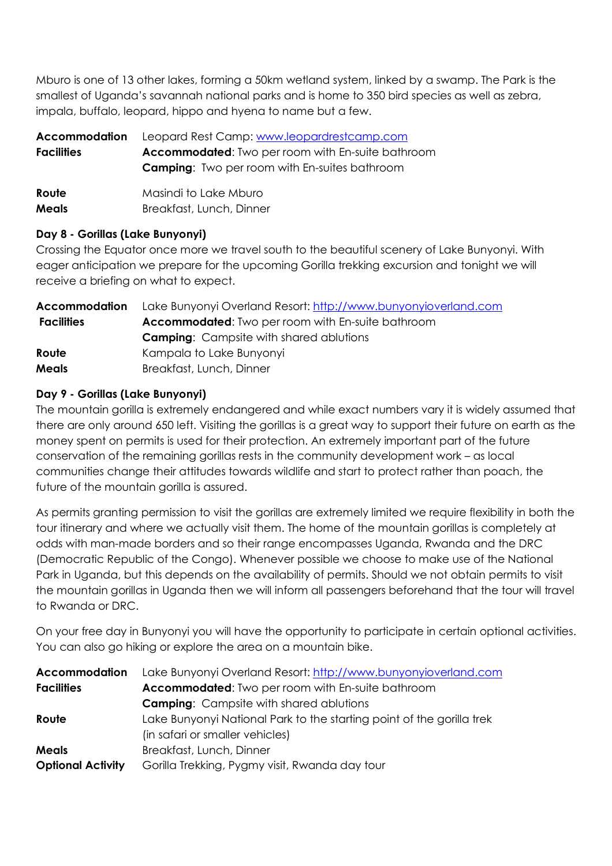Mburo is one of 13 other lakes, forming a 50km wetland system, linked by a swamp. The Park is the smallest of Uganda's savannah national parks and is home to 350 bird species as well as zebra, impala, buffalo, leopard, hippo and hyena to name but a few.

| <b>Accommodation</b><br><b>Facilities</b> | Leopard Rest Camp: www.leopardrestcamp.com<br><b>Accommodated:</b> Two per room with En-suite bathroom<br><b>Camping:</b> Two per room with En-suites bathroom |
|-------------------------------------------|----------------------------------------------------------------------------------------------------------------------------------------------------------------|
| Route                                     | Masindi to Lake Mburo                                                                                                                                          |
| <b>Meals</b>                              | Breakfast, Lunch, Dinner                                                                                                                                       |

# **Day 8 - Gorillas (Lake Bunyonyi)**

Crossing the Equator once more we travel south to the beautiful scenery of Lake Bunyonyi. With eager anticipation we prepare for the upcoming Gorilla trekking excursion and tonight we will receive a briefing on what to expect.

| Accommodation     | Lake Bunyonyi Overland Resort: http://www.bunyonyioverland.com |
|-------------------|----------------------------------------------------------------|
| <b>Facilities</b> | <b>Accommodated:</b> Two per room with En-suite bathroom       |
|                   | <b>Camping:</b> Campsite with shared ablutions                 |
| Route             | Kampala to Lake Bunyonyi                                       |
| <b>Meals</b>      | Breakfast, Lunch, Dinner                                       |

# **Day 9 - Gorillas (Lake Bunyonyi)**

The mountain gorilla is extremely endangered and while exact numbers vary it is widely assumed that there are only around 650 left. Visiting the gorillas is a great way to support their future on earth as the money spent on permits is used for their protection. An extremely important part of the future conservation of the remaining gorillas rests in the community development work – as local communities change their attitudes towards wildlife and start to protect rather than poach, the future of the mountain gorilla is assured.

As permits granting permission to visit the gorillas are extremely limited we require flexibility in both the tour itinerary and where we actually visit them. The home of the mountain gorillas is completely at odds with man-made borders and so their range encompasses Uganda, Rwanda and the DRC (Democratic Republic of the Congo). Whenever possible we choose to make use of the National Park in Uganda, but this depends on the availability of permits. Should we not obtain permits to visit the mountain gorillas in Uganda then we will inform all passengers beforehand that the tour will travel to Rwanda or DRC.

On your free day in Bunyonyi you will have the opportunity to participate in certain optional activities. You can also go hiking or explore the area on a mountain bike.

| <b>Accommodation</b>     | Lake Bunyonyi Overland Resort: http://www.bunyonyioverland.com        |
|--------------------------|-----------------------------------------------------------------------|
| <b>Facilities</b>        | Accommodated: Two per room with En-suite bathroom                     |
|                          | <b>Camping:</b> Campsite with shared ablutions                        |
| Route                    | Lake Bunyonyi National Park to the starting point of the gorilla trek |
|                          | (in safari or smaller vehicles)                                       |
| <b>Meals</b>             | Breakfast, Lunch, Dinner                                              |
| <b>Optional Activity</b> | Gorilla Trekking, Pygmy visit, Rwanda day tour                        |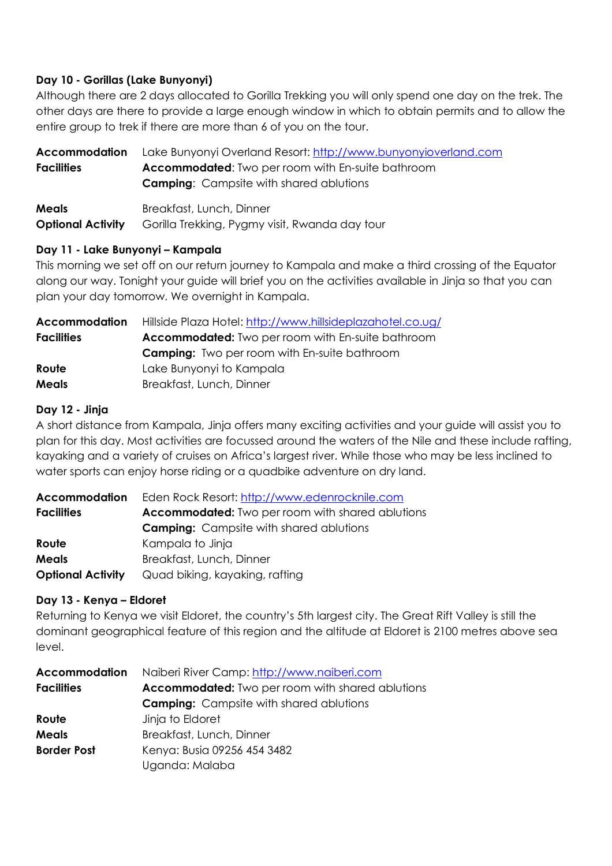# **Day 10 - Gorillas (Lake Bunyonyi)**

Although there are 2 days allocated to Gorilla Trekking you will only spend one day on the trek. The other days are there to provide a large enough window in which to obtain permits and to allow the entire group to trek if there are more than 6 of you on the tour.

| Accommodation            | Lake Bunyonyi Overland Resort: http://www.bunyonyioverland.com |
|--------------------------|----------------------------------------------------------------|
| <b>Facilities</b>        | <b>Accommodated:</b> Two per room with En-suite bathroom       |
|                          | <b>Camping:</b> Campsite with shared ablutions                 |
| <b>Meals</b>             | Breakfast, Lunch, Dinner                                       |
| <b>Optional Activity</b> | Gorilla Trekking, Pygmy visit, Rwanda day tour                 |

# **Day 11 - Lake Bunyonyi – Kampala**

This morning we set off on our return journey to Kampala and make a third crossing of the Equator along our way. Tonight your guide will brief you on the activities available in Jinja so that you can plan your day tomorrow. We overnight in Kampala.

| <b>Accommodation</b> | Hillside Plaza Hotel: http://www.hillsideplazahotel.co.ug/ |
|----------------------|------------------------------------------------------------|
| <b>Facilities</b>    | <b>Accommodated:</b> Two per room with En-suite bathroom   |
|                      | <b>Camping:</b> Two per room with En-suite bathroom        |
| Route                | Lake Bunyonyi to Kampala                                   |
| Meals                | Breakfast, Lunch, Dinner                                   |

#### **Day 12 - Jinja**

A short distance from Kampala, Jinja offers many exciting activities and your guide will assist you to plan for this day. Most activities are focussed around the waters of the Nile and these include rafting, kayaking and a variety of cruises on Africa's largest river. While those who may be less inclined to water sports can enjoy horse riding or a quadbike adventure on dry land.

| Accommodation            | Eden Rock Resort: http://www.edenrocknile.com           |
|--------------------------|---------------------------------------------------------|
| <b>Facilities</b>        | <b>Accommodated:</b> Two per room with shared ablutions |
|                          | <b>Camping:</b> Campsite with shared ablutions          |
| Route                    | Kampala to Jinja                                        |
| <b>Meals</b>             | Breakfast, Lunch, Dinner                                |
| <b>Optional Activity</b> | Quad biking, kayaking, rafting                          |

# **Day 13 - Kenya – Eldoret**

Returning to Kenya we visit Eldoret, the country's 5th largest city. The Great Rift Valley is still the dominant geographical feature of this region and the altitude at Eldoret is 2100 metres above sea level.

| <b>Accommodation</b> | Naiberi River Camp: http://www.naiberi.com              |  |  |
|----------------------|---------------------------------------------------------|--|--|
| <b>Facilities</b>    | <b>Accommodated:</b> Two per room with shared ablutions |  |  |
|                      | <b>Camping:</b> Campsite with shared ablutions          |  |  |
| Route                | Jinja to Eldoret                                        |  |  |
| <b>Meals</b>         | Breakfast, Lunch, Dinner                                |  |  |
| <b>Border Post</b>   | Kenya: Busia 09256 454 3482                             |  |  |
|                      | Uganda: Malaba                                          |  |  |